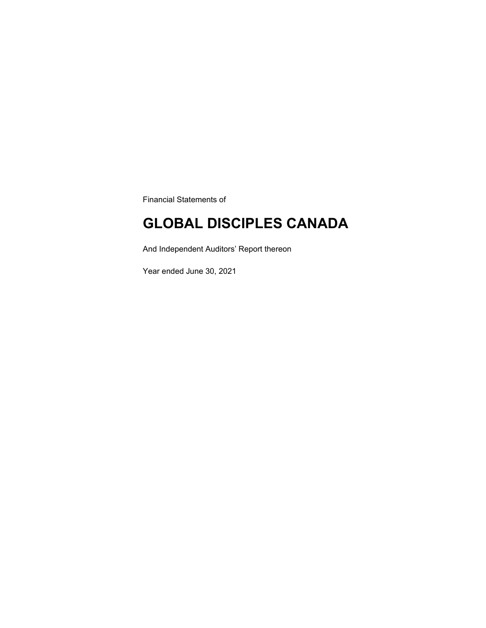Financial Statements of

### **GLOBAL DISCIPLES CANADA**

And Independent Auditors' Report thereon

Year ended June 30, 2021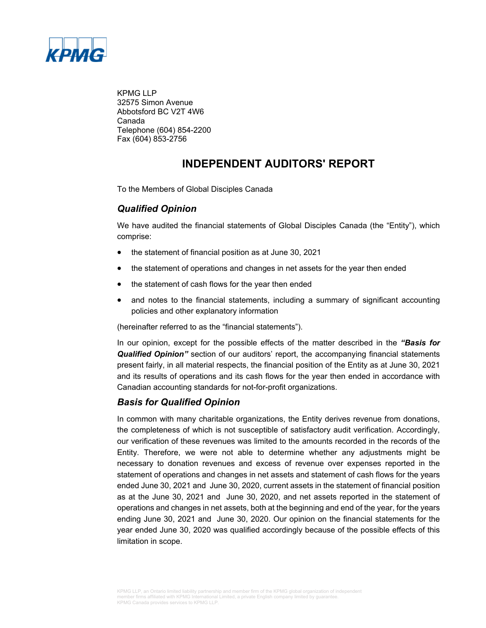

KPMG LLP 32575 Simon Avenue Abbotsford BC V2T 4W6 Canada Telephone (604) 854-2200 Fax (604) 853-2756

### **INDEPENDENT AUDITORS' REPORT**

To the Members of Global Disciples Canada

### *Qualified Opinion*

We have audited the financial statements of Global Disciples Canada (the "Entity"), which comprise:

- the statement of financial position as at June 30, 2021
- the statement of operations and changes in net assets for the year then ended
- the statement of cash flows for the year then ended
- and notes to the financial statements, including a summary of significant accounting policies and other explanatory information

(hereinafter referred to as the "financial statements").

In our opinion, except for the possible effects of the matter described in the *"Basis for Qualified Opinion"* section of our auditors' report, the accompanying financial statements present fairly, in all material respects, the financial position of the Entity as at June 30, 2021 and its results of operations and its cash flows for the year then ended in accordance with Canadian accounting standards for not-for-profit organizations.

### *Basis for Qualified Opinion*

In common with many charitable organizations, the Entity derives revenue from donations, the completeness of which is not susceptible of satisfactory audit verification. Accordingly, our verification of these revenues was limited to the amounts recorded in the records of the Entity. Therefore, we were not able to determine whether any adjustments might be necessary to donation revenues and excess of revenue over expenses reported in the statement of operations and changes in net assets and statement of cash flows for the years ended June 30, 2021 and June 30, 2020, current assets in the statement of financial position as at the June 30, 2021 and June 30, 2020, and net assets reported in the statement of operations and changes in net assets, both at the beginning and end of the year, for the years ending June 30, 2021 and June 30, 2020. Our opinion on the financial statements for the year ended June 30, 2020 was qualified accordingly because of the possible effects of this limitation in scope.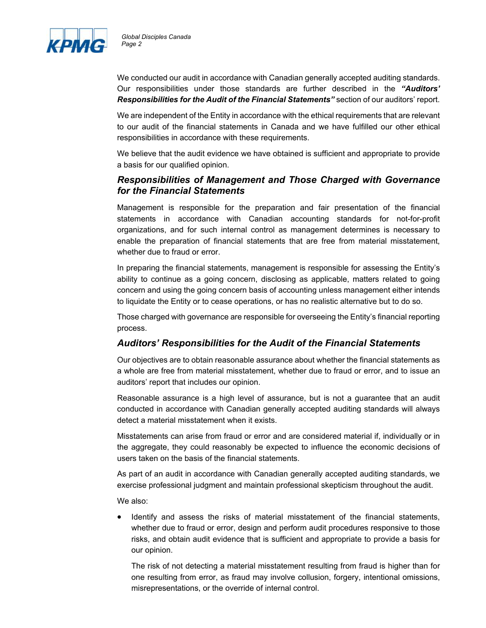

We conducted our audit in accordance with Canadian generally accepted auditing standards. Our responsibilities under those standards are further described in the *"Auditors' Responsibilities for the Audit of the Financial Statements"* section of our auditors' report.

We are independent of the Entity in accordance with the ethical requirements that are relevant to our audit of the financial statements in Canada and we have fulfilled our other ethical responsibilities in accordance with these requirements.

We believe that the audit evidence we have obtained is sufficient and appropriate to provide a basis for our qualified opinion.

### *Responsibilities of Management and Those Charged with Governance for the Financial Statements*

Management is responsible for the preparation and fair presentation of the financial statements in accordance with Canadian accounting standards for not-for-profit organizations, and for such internal control as management determines is necessary to enable the preparation of financial statements that are free from material misstatement, whether due to fraud or error.

In preparing the financial statements, management is responsible for assessing the Entity's ability to continue as a going concern, disclosing as applicable, matters related to going concern and using the going concern basis of accounting unless management either intends to liquidate the Entity or to cease operations, or has no realistic alternative but to do so.

Those charged with governance are responsible for overseeing the Entity's financial reporting process.

### *Auditors' Responsibilities for the Audit of the Financial Statements*

Our objectives are to obtain reasonable assurance about whether the financial statements as a whole are free from material misstatement, whether due to fraud or error, and to issue an auditors' report that includes our opinion.

Reasonable assurance is a high level of assurance, but is not a guarantee that an audit conducted in accordance with Canadian generally accepted auditing standards will always detect a material misstatement when it exists.

Misstatements can arise from fraud or error and are considered material if, individually or in the aggregate, they could reasonably be expected to influence the economic decisions of users taken on the basis of the financial statements.

As part of an audit in accordance with Canadian generally accepted auditing standards, we exercise professional judgment and maintain professional skepticism throughout the audit.

We also:

 Identify and assess the risks of material misstatement of the financial statements, whether due to fraud or error, design and perform audit procedures responsive to those risks, and obtain audit evidence that is sufficient and appropriate to provide a basis for our opinion.

The risk of not detecting a material misstatement resulting from fraud is higher than for one resulting from error, as fraud may involve collusion, forgery, intentional omissions, misrepresentations, or the override of internal control.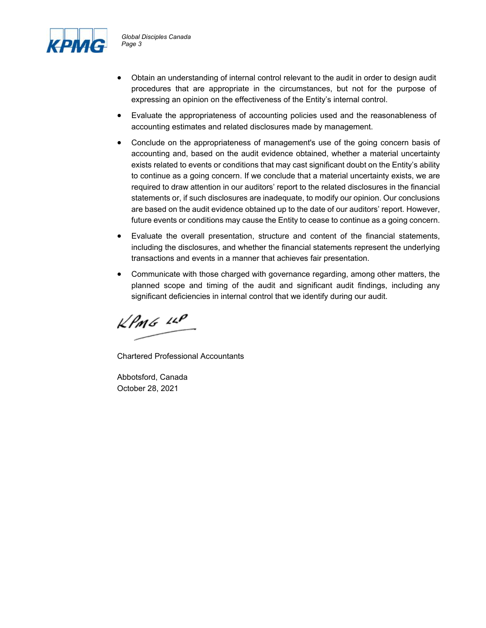

- Obtain an understanding of internal control relevant to the audit in order to design audit procedures that are appropriate in the circumstances, but not for the purpose of expressing an opinion on the effectiveness of the Entity's internal control.
- Evaluate the appropriateness of accounting policies used and the reasonableness of accounting estimates and related disclosures made by management.
- Conclude on the appropriateness of management's use of the going concern basis of accounting and, based on the audit evidence obtained, whether a material uncertainty exists related to events or conditions that may cast significant doubt on the Entity's ability to continue as a going concern. If we conclude that a material uncertainty exists, we are required to draw attention in our auditors' report to the related disclosures in the financial statements or, if such disclosures are inadequate, to modify our opinion. Our conclusions are based on the audit evidence obtained up to the date of our auditors' report. However, future events or conditions may cause the Entity to cease to continue as a going concern.
- Evaluate the overall presentation, structure and content of the financial statements, including the disclosures, and whether the financial statements represent the underlying transactions and events in a manner that achieves fair presentation.
- Communicate with those charged with governance regarding, among other matters, the planned scope and timing of the audit and significant audit findings, including any significant deficiencies in internal control that we identify during our audit.

 $k$ *PMG*  $44$ 

Chartered Professional Accountants

Abbotsford, Canada October 28, 2021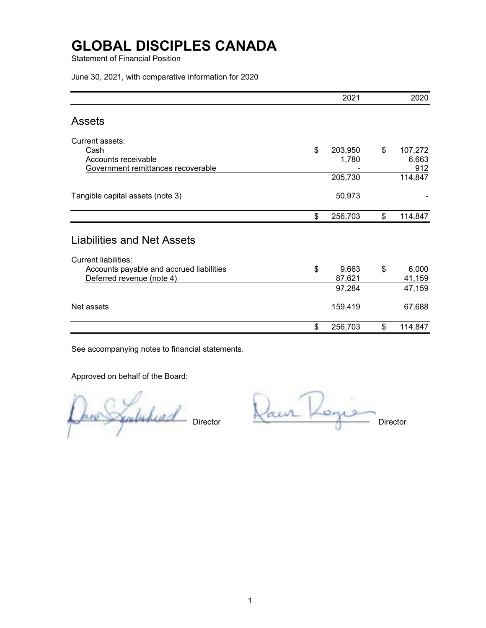Statement of Financial Position

June 30, 2021, with comparative information for 2020

|                                          | 2021          | 2020          |
|------------------------------------------|---------------|---------------|
| <b>Assets</b>                            |               |               |
| Current assets:                          |               |               |
| Cash                                     | \$<br>203,950 | \$<br>107,272 |
| Accounts receivable                      | 1,780         | 6,663         |
| Government remittances recoverable       |               | 912           |
|                                          | 205,730       | 114,847       |
| Tangible capital assets (note 3)         | 50,973        |               |
|                                          | \$<br>256,703 | \$<br>114,847 |
| <b>Liabilities and Net Assets</b>        |               |               |
| <b>Current liabilities:</b>              |               |               |
| Accounts payable and accrued liabilities | \$<br>9,663   | \$<br>6,000   |
| Deferred revenue (note 4)                | 87,621        | 41,159        |
|                                          | 97,284        | 47,159        |
| Net assets                               | 159,419       | 67,688        |
|                                          | \$<br>256,703 | \$<br>114,847 |

See accompanying notes to financial statements.

Approved on behalf of the Board:

Onne Symboliard Director Raur Rogie

1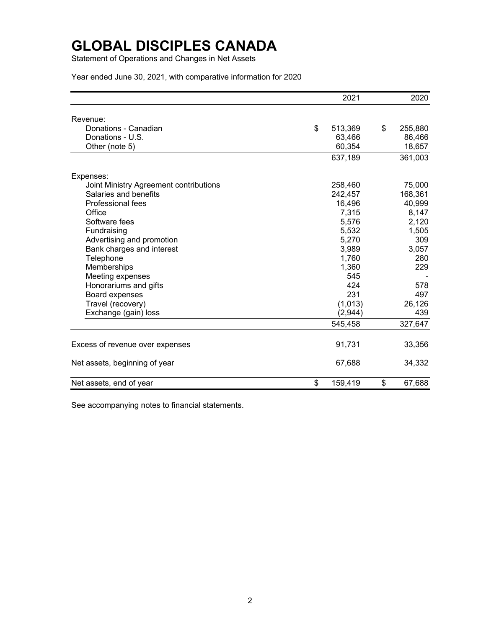Statement of Operations and Changes in Net Assets

Year ended June 30, 2021, with comparative information for 2020

|                                        | 2021          | 2020          |
|----------------------------------------|---------------|---------------|
| Revenue:                               |               |               |
| Donations - Canadian                   | \$<br>513,369 | \$<br>255,880 |
| Donations - U.S.                       | 63,466        | 86,466        |
| Other (note 5)                         | 60,354        | 18,657        |
|                                        | 637,189       | 361,003       |
| Expenses:                              |               |               |
| Joint Ministry Agreement contributions | 258,460       | 75,000        |
| Salaries and benefits                  | 242,457       | 168,361       |
| Professional fees                      | 16,496        | 40,999        |
| Office                                 | 7,315         | 8,147         |
| Software fees                          | 5,576         | 2,120         |
| Fundraising                            | 5,532         | 1,505         |
| Advertising and promotion              | 5,270         | 309           |
| Bank charges and interest              | 3,989         | 3,057         |
| Telephone                              | 1,760         | 280           |
| Memberships                            | 1,360         | 229           |
| Meeting expenses                       | 545           |               |
| Honorariums and gifts                  | 424           | 578           |
| Board expenses                         | 231           | 497           |
| Travel (recovery)                      | (1,013)       | 26,126        |
| Exchange (gain) loss                   | (2,944)       | 439           |
|                                        | 545,458       | 327,647       |
| Excess of revenue over expenses        | 91,731        | 33,356        |
| Net assets, beginning of year          | 67,688        | 34,332        |
| Net assets, end of year                | \$<br>159,419 | \$<br>67,688  |

See accompanying notes to financial statements.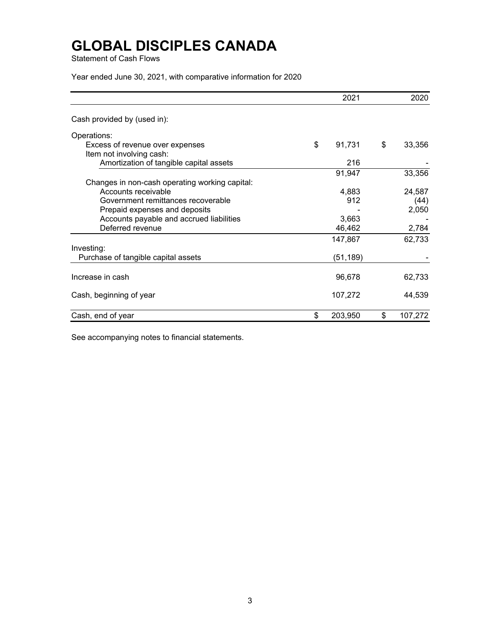Statement of Cash Flows

Year ended June 30, 2021, with comparative information for 2020

|                                                | 2021          | 2020          |
|------------------------------------------------|---------------|---------------|
| Cash provided by (used in):                    |               |               |
| Operations:                                    |               |               |
| Excess of revenue over expenses                | \$<br>91,731  | \$<br>33,356  |
| Item not involving cash:                       |               |               |
| Amortization of tangible capital assets        | 216           |               |
|                                                | 91,947        | 33,356        |
| Changes in non-cash operating working capital: |               |               |
| Accounts receivable                            | 4,883         | 24,587        |
| Government remittances recoverable             | 912           | (44)          |
| Prepaid expenses and deposits                  |               | 2,050         |
| Accounts payable and accrued liabilities       | 3,663         |               |
| Deferred revenue                               | 46,462        | 2,784         |
|                                                | 147,867       | 62,733        |
| Investing:                                     |               |               |
| Purchase of tangible capital assets            | (51,189)      |               |
| Increase in cash                               | 96,678        | 62,733        |
| Cash, beginning of year                        | 107,272       | 44,539        |
| Cash, end of year                              | \$<br>203,950 | \$<br>107,272 |

See accompanying notes to financial statements.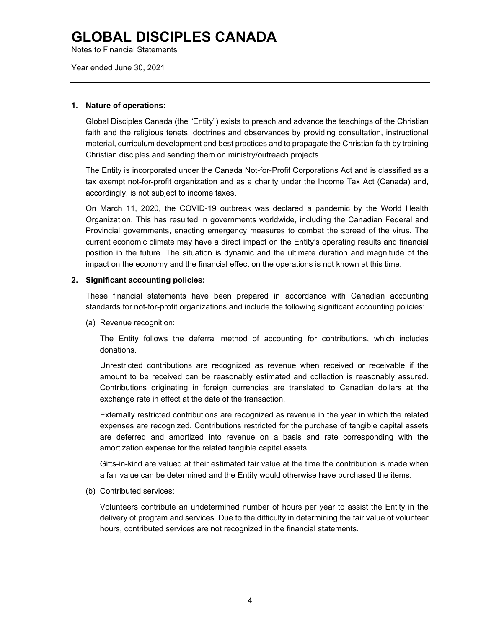Notes to Financial Statements

Year ended June 30, 2021

#### **1. Nature of operations:**

Global Disciples Canada (the "Entity") exists to preach and advance the teachings of the Christian faith and the religious tenets, doctrines and observances by providing consultation, instructional material, curriculum development and best practices and to propagate the Christian faith by training Christian disciples and sending them on ministry/outreach projects.

The Entity is incorporated under the Canada Not-for-Profit Corporations Act and is classified as a tax exempt not-for-profit organization and as a charity under the Income Tax Act (Canada) and, accordingly, is not subject to income taxes.

On March 11, 2020, the COVID-19 outbreak was declared a pandemic by the World Health Organization. This has resulted in governments worldwide, including the Canadian Federal and Provincial governments, enacting emergency measures to combat the spread of the virus. The current economic climate may have a direct impact on the Entity's operating results and financial position in the future. The situation is dynamic and the ultimate duration and magnitude of the impact on the economy and the financial effect on the operations is not known at this time.

### **2. Significant accounting policies:**

These financial statements have been prepared in accordance with Canadian accounting standards for not-for-profit organizations and include the following significant accounting policies:

(a) Revenue recognition:

The Entity follows the deferral method of accounting for contributions, which includes donations.

Unrestricted contributions are recognized as revenue when received or receivable if the amount to be received can be reasonably estimated and collection is reasonably assured. Contributions originating in foreign currencies are translated to Canadian dollars at the exchange rate in effect at the date of the transaction.

Externally restricted contributions are recognized as revenue in the year in which the related expenses are recognized. Contributions restricted for the purchase of tangible capital assets are deferred and amortized into revenue on a basis and rate corresponding with the amortization expense for the related tangible capital assets.

Gifts-in-kind are valued at their estimated fair value at the time the contribution is made when a fair value can be determined and the Entity would otherwise have purchased the items.

(b) Contributed services:

Volunteers contribute an undetermined number of hours per year to assist the Entity in the delivery of program and services. Due to the difficulty in determining the fair value of volunteer hours, contributed services are not recognized in the financial statements.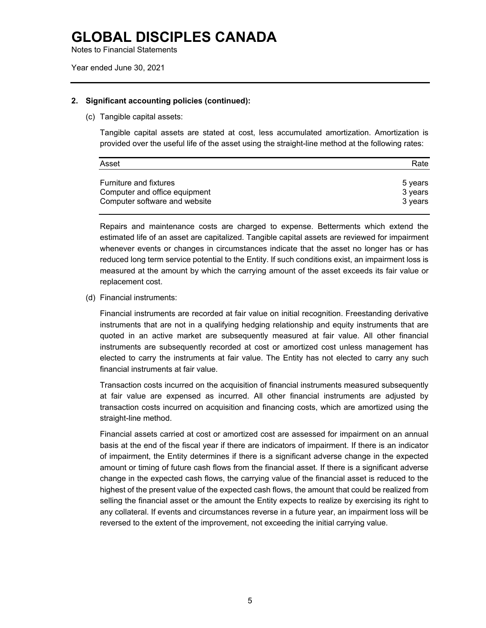Notes to Financial Statements

#### **2. Significant accounting policies (continued):**

(c) Tangible capital assets:

Tangible capital assets are stated at cost, less accumulated amortization. Amortization is provided over the useful life of the asset using the straight-line method at the following rates:

| Asset                         | Rate    |
|-------------------------------|---------|
| <b>Furniture and fixtures</b> | 5 years |
| Computer and office equipment | 3 years |
| Computer software and website | 3 vears |

Repairs and maintenance costs are charged to expense. Betterments which extend the estimated life of an asset are capitalized. Tangible capital assets are reviewed for impairment whenever events or changes in circumstances indicate that the asset no longer has or has reduced long term service potential to the Entity. If such conditions exist, an impairment loss is measured at the amount by which the carrying amount of the asset exceeds its fair value or replacement cost.

#### (d) Financial instruments:

Financial instruments are recorded at fair value on initial recognition. Freestanding derivative instruments that are not in a qualifying hedging relationship and equity instruments that are quoted in an active market are subsequently measured at fair value. All other financial instruments are subsequently recorded at cost or amortized cost unless management has elected to carry the instruments at fair value. The Entity has not elected to carry any such financial instruments at fair value.

Transaction costs incurred on the acquisition of financial instruments measured subsequently at fair value are expensed as incurred. All other financial instruments are adjusted by transaction costs incurred on acquisition and financing costs, which are amortized using the straight-line method.

Financial assets carried at cost or amortized cost are assessed for impairment on an annual basis at the end of the fiscal year if there are indicators of impairment. If there is an indicator of impairment, the Entity determines if there is a significant adverse change in the expected amount or timing of future cash flows from the financial asset. If there is a significant adverse change in the expected cash flows, the carrying value of the financial asset is reduced to the highest of the present value of the expected cash flows, the amount that could be realized from selling the financial asset or the amount the Entity expects to realize by exercising its right to any collateral. If events and circumstances reverse in a future year, an impairment loss will be reversed to the extent of the improvement, not exceeding the initial carrying value.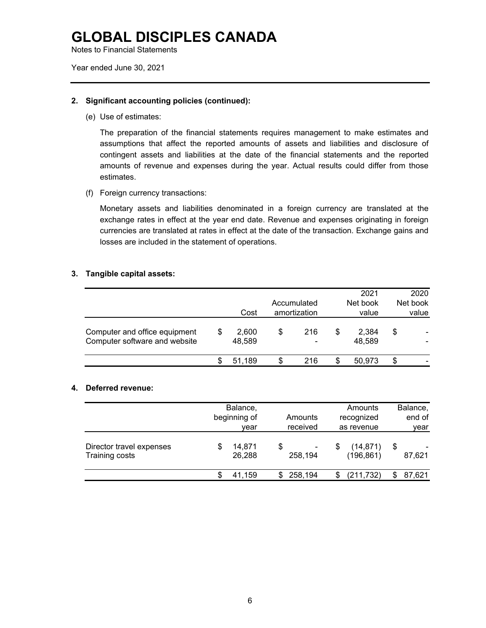Notes to Financial Statements

Year ended June 30, 2021

### **2. Significant accounting policies (continued):**

(e) Use of estimates:

The preparation of the financial statements requires management to make estimates and assumptions that affect the reported amounts of assets and liabilities and disclosure of contingent assets and liabilities at the date of the financial statements and the reported amounts of revenue and expenses during the year. Actual results could differ from those estimates.

(f) Foreign currency transactions:

Monetary assets and liabilities denominated in a foreign currency are translated at the exchange rates in effect at the year end date. Revenue and expenses originating in foreign currencies are translated at rates in effect at the date of the transaction. Exchange gains and losses are included in the statement of operations.

#### **3. Tangible capital assets:**

|                                                                |   | Cost            | Accumulated<br>amortization |     |   | 2021<br>Net book<br>value |    | 2020<br>Net book<br>value |
|----------------------------------------------------------------|---|-----------------|-----------------------------|-----|---|---------------------------|----|---------------------------|
| Computer and office equipment<br>Computer software and website | S | 2,600<br>48,589 | S                           | 216 | S | 2,384<br>48,589           | \$ |                           |
|                                                                |   | 51.189          | \$                          | 216 | S | 50.973                    | S  |                           |

### **4. Deferred revenue:**

|                                            | Balance,<br>beginning of<br>vear |    | Amounts<br>received |   | Amounts<br>recognized<br>as revenue |   | Balance,<br>end of<br>year |  |
|--------------------------------------------|----------------------------------|----|---------------------|---|-------------------------------------|---|----------------------------|--|
| Director travel expenses<br>Training costs | 14,871<br>26,288                 | \$ | 258,194             | S | (14, 871)<br>(196, 861)             | S | 87,621                     |  |
|                                            | 41.159                           | S  | 258,194             |   | (211, 732)                          |   | 87,621                     |  |